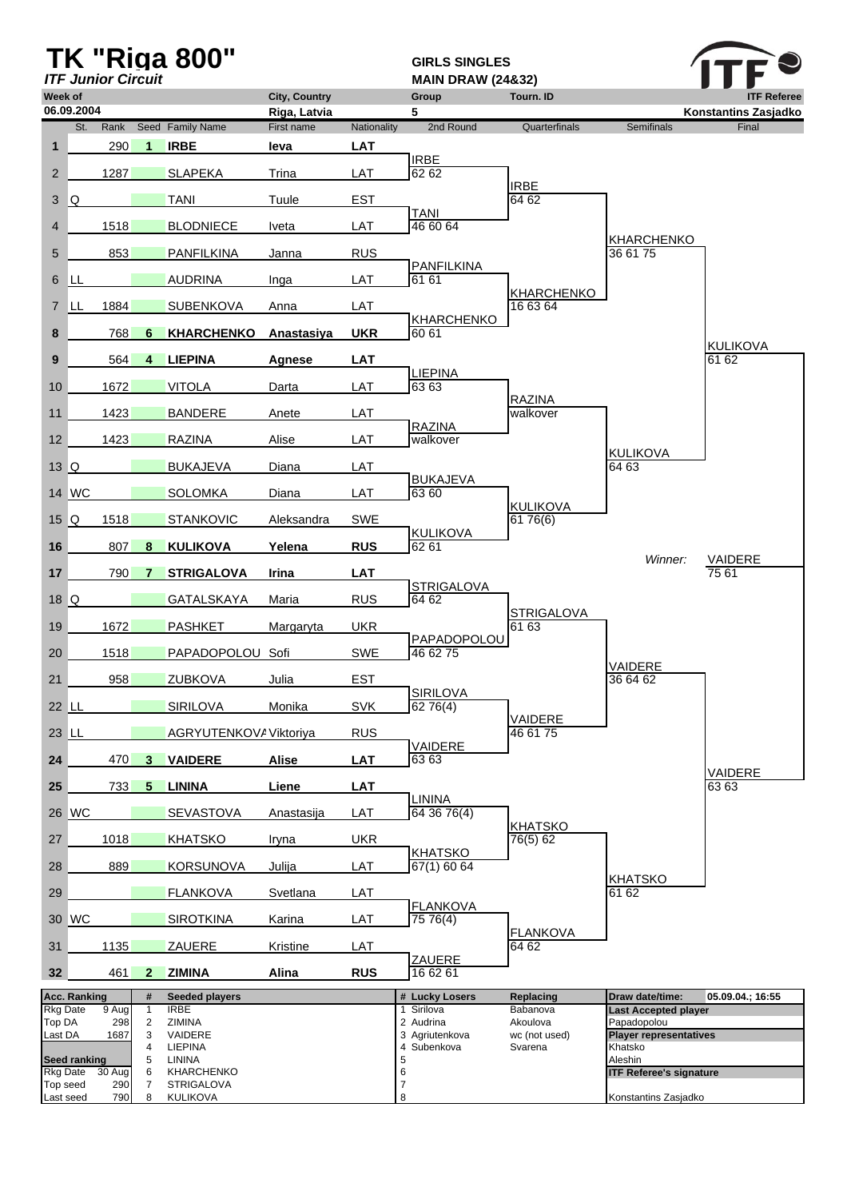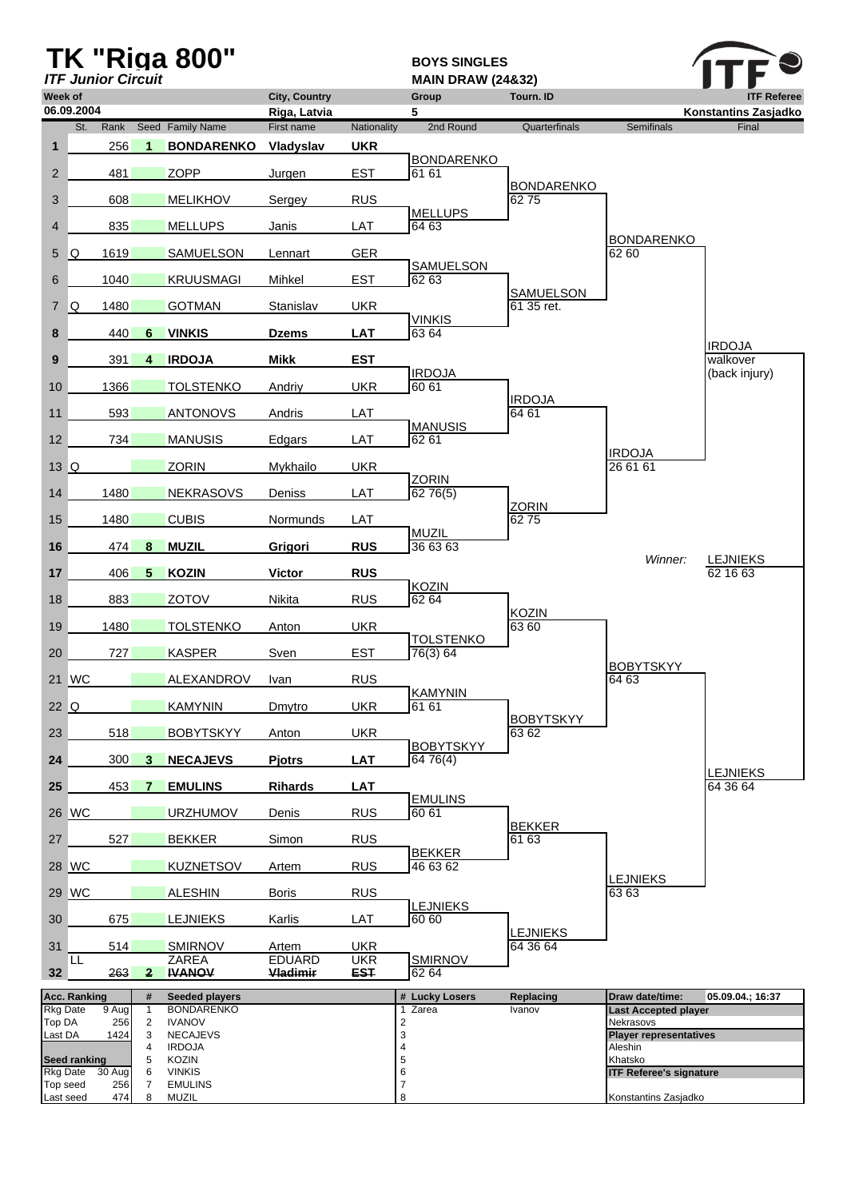|                       |                     | <b>ITF Junior Circuit</b> |                   | <b>TK "Riga 800"</b>               |                                      |                          | <b>BOYS SINGLES</b><br><b>MAIN DRAW (24&amp;32)</b> |                             |                                           |                                            |
|-----------------------|---------------------|---------------------------|-------------------|------------------------------------|--------------------------------------|--------------------------|-----------------------------------------------------|-----------------------------|-------------------------------------------|--------------------------------------------|
| Week of               | 06.09.2004          |                           |                   |                                    | <b>City, Country</b><br>Riga, Latvia |                          | Group<br>5                                          | <b>Tourn. ID</b>            |                                           | <b>ITF Referee</b><br>Konstantins Zasjadko |
|                       | St.                 | Rank                      |                   | Seed Family Name                   | First name                           | Nationality              | 2nd Round                                           | Quarterfinals               | <b>Semifinals</b>                         | Final                                      |
| $\mathbf{1}$          |                     | 256                       | $\mathbf 1$       | <b>BONDARENKO</b>                  | Vladyslav                            | <b>UKR</b>               | <b>BONDARENKO</b>                                   |                             |                                           |                                            |
| $\overline{2}$        |                     | 481                       |                   | <b>ZOPP</b>                        | Jurgen                               | <b>EST</b>               | 61 61                                               | <b>BONDARENKO</b>           |                                           |                                            |
| 3                     |                     | 608                       |                   | <b>MELIKHOV</b>                    | Sergey                               | <b>RUS</b>               | <b>MELLUPS</b>                                      | 6275                        |                                           |                                            |
| $\overline{4}$        |                     | 835                       |                   | <b>MELLUPS</b>                     | Janis                                | LAT                      | 64 63                                               |                             |                                           |                                            |
| 5                     | IQ.                 | 1619                      |                   | SAMUELSON                          | Lennart                              | <b>GER</b>               |                                                     |                             | <b>BONDARENKO</b><br>62 60                |                                            |
| 6                     |                     | 1040                      |                   | KRUUSMAGI                          | Mihkel                               | <b>EST</b>               | SAMUELSON<br>62 63                                  |                             |                                           |                                            |
| $\overline{7}$        | IQ.                 | 1480                      |                   | <b>GOTMAN</b>                      | Stanislav                            | <b>UKR</b>               |                                                     | SAMUELSON<br>61 35 ret.     |                                           |                                            |
| 8                     |                     | 440                       | 6                 | <b>VINKIS</b>                      | <b>Dzems</b>                         | <b>LAT</b>               | <b>VINKIS</b><br>63 64                              |                             |                                           |                                            |
| 9                     |                     | 391                       | $\overline{4}$    | <b>IRDOJA</b>                      | <b>Mikk</b>                          | <b>EST</b>               |                                                     |                             |                                           | <b>IRDOJA</b><br>walkover                  |
| 10                    |                     | 1366                      |                   | <b>TOLSTENKO</b>                   | Andriy                               | <b>UKR</b>               | <b>IRDOJA</b><br>60 61                              |                             |                                           | (back injury)                              |
| 11                    |                     | 593                       |                   | <b>ANTONOVS</b>                    | Andris                               | LAT                      |                                                     | <b>IRDOJA</b><br>64 61      |                                           |                                            |
|                       |                     |                           |                   |                                    |                                      |                          | <b>MANUSIS</b>                                      |                             |                                           |                                            |
| 12                    |                     | 734                       |                   | <b>MANUSIS</b>                     | Edgars                               | LAT                      | 62 61                                               |                             | <b>IRDOJA</b>                             |                                            |
| 13 Q                  |                     |                           |                   | <b>ZORIN</b>                       | Mykhailo                             | <b>UKR</b>               | <b>ZORIN</b>                                        |                             | 26 61 61                                  |                                            |
| 14                    |                     | 1480                      |                   | <b>NEKRASOVS</b>                   | Deniss                               | LAT                      | 6276(5)                                             | <b>ZORIN</b>                |                                           |                                            |
| 15                    |                     | 1480                      |                   | <b>CUBIS</b>                       | Normunds                             | LAT                      | MUZIL                                               | 6275                        |                                           |                                            |
| 16                    |                     | 474                       | 8                 | <b>MUZIL</b>                       | Grigori                              | <b>RUS</b>               | 36 63 63                                            |                             |                                           |                                            |
| 17                    |                     | 406                       | 5                 | <b>KOZIN</b>                       | <b>Victor</b>                        | <b>RUS</b>               |                                                     |                             | Winner:                                   | <b>LEJNIEKS</b><br>62 16 63                |
| 18                    |                     | 883                       |                   | <b>ZOTOV</b>                       | Nikita                               | <b>RUS</b>               | <b>KOZIN</b><br>62 64                               |                             |                                           |                                            |
| 19                    |                     | 1480                      |                   | <b>TOLSTENKO</b>                   | Anton                                | <b>UKR</b>               |                                                     | <b>KOZIN</b><br>63 60       |                                           |                                            |
| 20                    |                     | 727                       |                   | <b>KASPER</b>                      | Sven                                 | <b>EST</b>               | <b>TOLSTENKO</b><br>76(3) 64                        |                             |                                           |                                            |
|                       | 21 WC               |                           |                   | <b>ALEXANDROV</b>                  | <b>Ivan</b>                          | <b>RUS</b>               |                                                     |                             | <b>BOBYTSKYY</b><br>64 63                 |                                            |
| 22 Q                  |                     |                           |                   | <b>KAMYNIN</b>                     | Dmytro                               | <b>UKR</b>               | <b>KAMYNIN</b><br>61 61                             |                             |                                           |                                            |
|                       |                     |                           |                   |                                    |                                      |                          |                                                     | <b>BOBYTSKYY</b><br>63 62   |                                           |                                            |
| 23                    |                     | 518                       |                   | <b>BOBYTSKYY</b>                   | Anton                                | <b>UKR</b>               | <b>BOBYTSKYY</b>                                    |                             |                                           |                                            |
| 24                    |                     | 300                       | 3                 | <b>NECAJEVS</b>                    | <b>Pjotrs</b>                        | <b>LAT</b>               | 6476(4)                                             |                             |                                           | <b>LEJNIEKS</b>                            |
| 25                    |                     | 453                       | $7^{\circ}$       | <b>EMULINS</b>                     | <b>Rihards</b>                       | <b>LAT</b>               | <b>EMULINS</b>                                      |                             |                                           | 64 36 64                                   |
|                       | 26 WC               |                           |                   | <b>URZHUMOV</b>                    | Denis                                | <b>RUS</b>               | 60 61                                               | <b>BEKKER</b>               |                                           |                                            |
| 27                    |                     | 527                       |                   | <b>BEKKER</b>                      | Simon                                | <b>RUS</b>               | <b>BEKKER</b>                                       | 61 63                       |                                           |                                            |
|                       | 28 WC               |                           |                   | <b>KUZNETSOV</b>                   | Artem                                | <b>RUS</b>               | 46 63 62                                            |                             |                                           |                                            |
|                       | 29 WC               |                           |                   | <b>ALESHIN</b>                     | <b>Boris</b>                         | <b>RUS</b>               |                                                     |                             | <b>LEJNIEKS</b><br>63 63                  |                                            |
| 30                    |                     | 675                       |                   | <b>LEJNIEKS</b>                    | Karlis                               | LAT                      | <b>LEJNIEKS</b><br>60 60                            |                             |                                           |                                            |
| 31                    |                     | 514                       |                   | <b>SMIRNOV</b>                     | Artem                                | <b>UKR</b>               |                                                     | <b>LEJNIEKS</b><br>64 36 64 |                                           |                                            |
| 32 <sub>1</sub>       | LL                  | 263                       | $\mathbf{2}$      | <b>ZAREA</b><br><b>IVANOV</b>      | <b>EDUARD</b><br>Vladimir            | <b>UKR</b><br><b>EST</b> | <b>SMIRNOV</b><br>62 64                             |                             |                                           |                                            |
|                       | <b>Acc. Ranking</b> |                           | #                 | Seeded players                     |                                      |                          | # Lucky Losers                                      | Replacing                   | Draw date/time:                           | 05.09.04.; 16:37                           |
| Rkg Date<br>Top DA    |                     | 9 Aug<br>256              | $\mathbf{1}$<br>2 | <b>BONDARENKO</b><br><b>IVANOV</b> |                                      |                          | Zarea<br>$\mathbf{1}$<br>$\overline{\mathbf{c}}$    | Ivanov                      | <b>Last Accepted player</b><br>Nekrasovs  |                                            |
| Last DA               |                     | 1424                      | 3<br>4            | <b>NECAJEVS</b><br><b>IRDOJA</b>   |                                      |                          | 3<br>4                                              |                             | <b>Player representatives</b><br>Aleshin  |                                            |
| <b>Rkg Date</b>       | <b>Seed ranking</b> | 30 Aug                    | 5<br>6            | KOZIN<br><b>VINKIS</b>             |                                      |                          | 5<br>6                                              |                             | Khatsko<br><b>ITF Referee's signature</b> |                                            |
| Top seed<br>Last seed |                     | 256<br>474                | $\overline{7}$    | <b>EMULINS</b>                     |                                      |                          | 7<br>8                                              |                             |                                           |                                            |
|                       |                     |                           | 8                 | MUZIL                              |                                      |                          |                                                     |                             | Konstantins Zasjadko                      |                                            |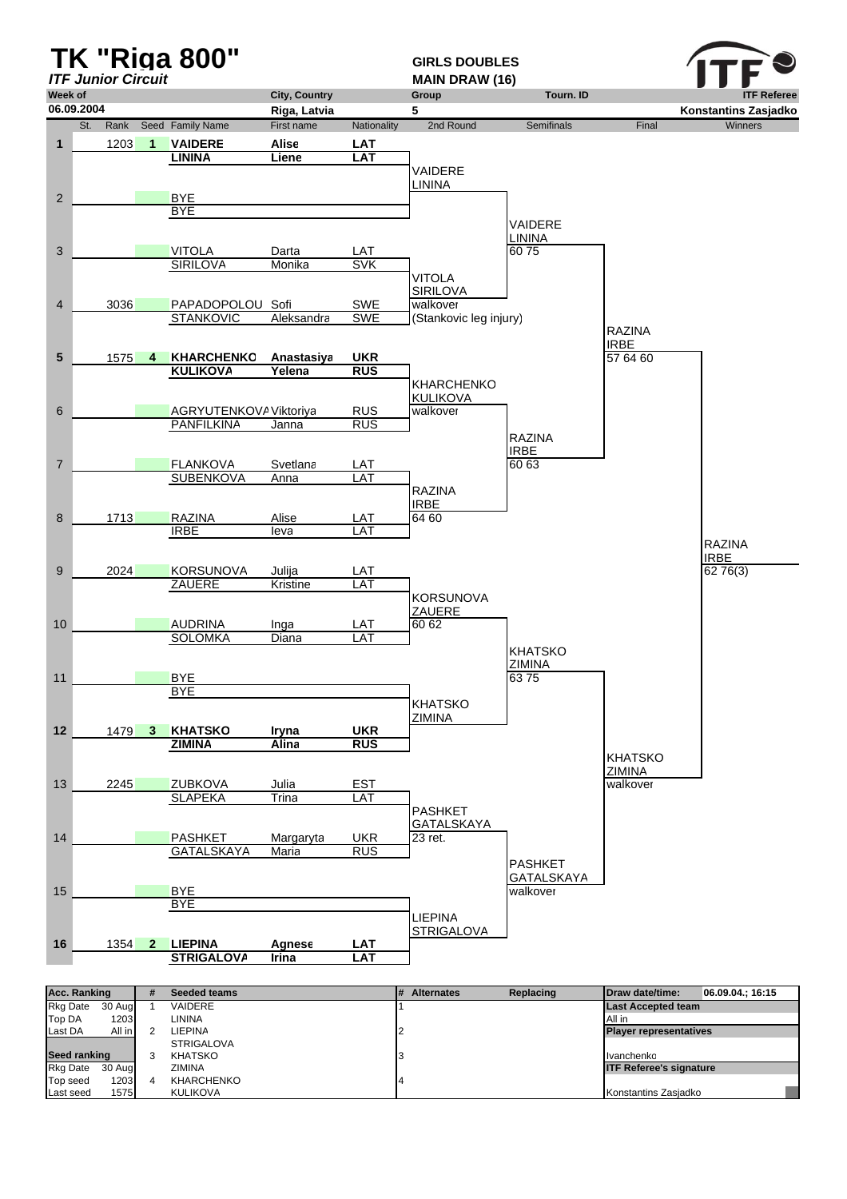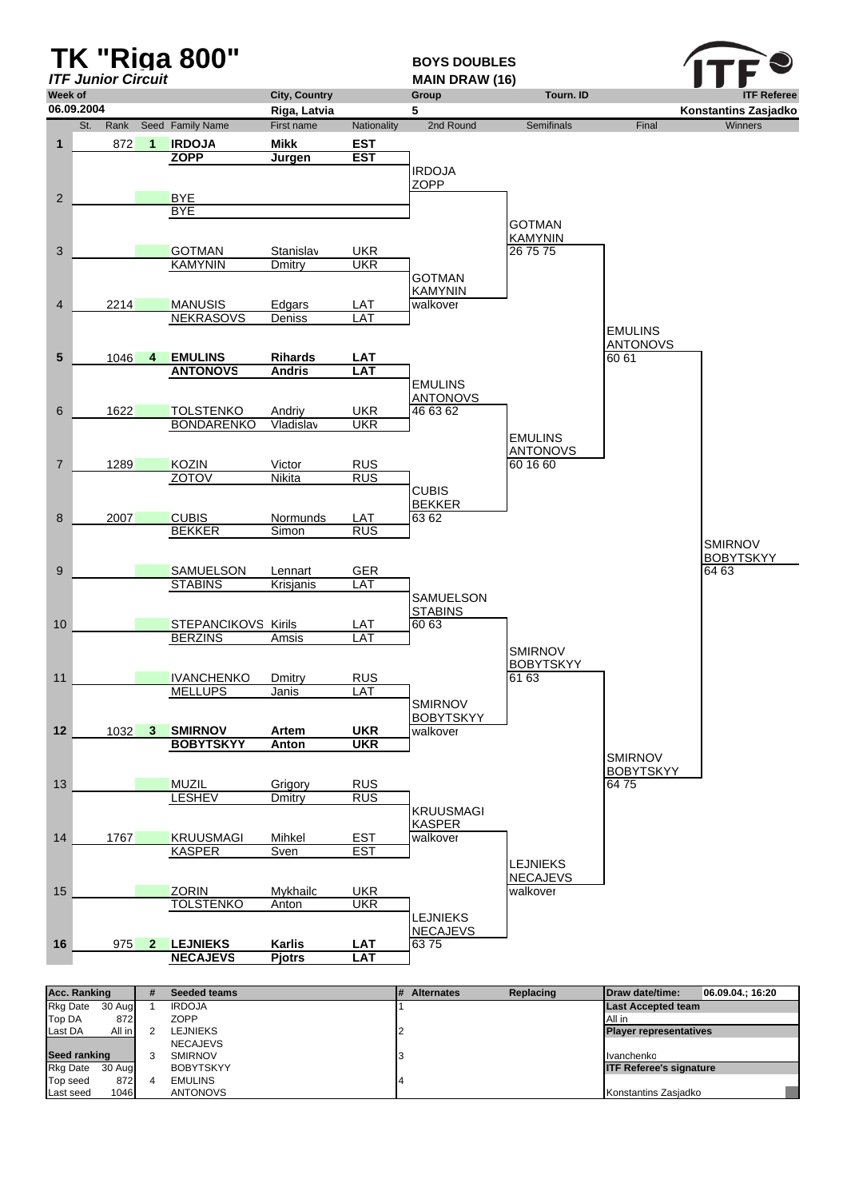

| Rkg Date     | 30 Aug | <b>IRDOJA</b>    | <b>Last Accepted team</b>      |
|--------------|--------|------------------|--------------------------------|
| Top DA       | 872    | <b>ZOPP</b>      | All in                         |
| Last DA      | All in | LEJNIEKS         | <b>Player representatives</b>  |
|              |        | <b>NECAJEVS</b>  |                                |
| Seed ranking |        | <b>SMIRNOV</b>   | Ivanchenko                     |
| Rkg Date     | 30 Aug | <b>BOBYTSKYY</b> | <b>ITF Referee's signature</b> |
| Top seed     | 872    | <b>EMULINS</b>   |                                |
| Last seed    | 1046   | <b>ANTONOVS</b>  | Konstantins Zasjadko           |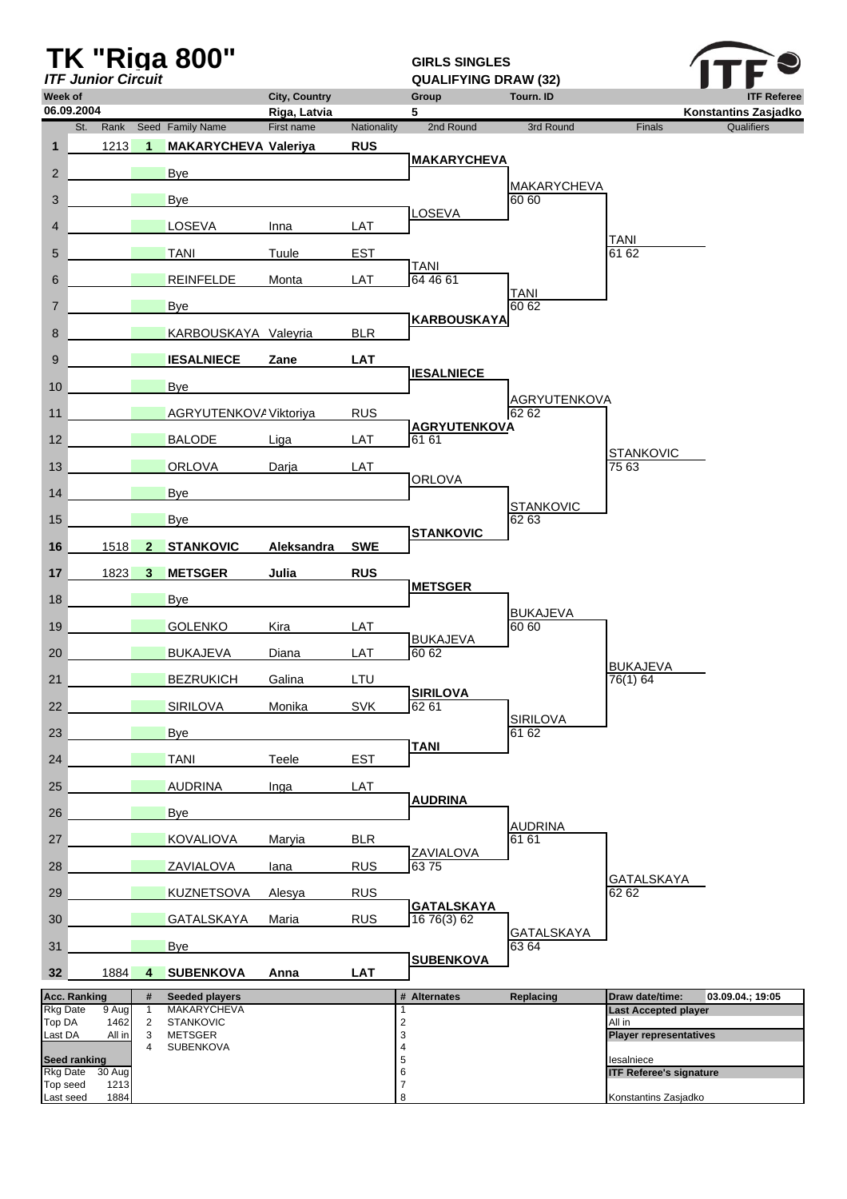| Week of                     | <b>ITF Junior Circuit</b> |                                  | <b>TK "Riga 800"</b>                   | <b>City, Country</b> |             | <b>GIRLS SINGLES</b><br><b>QUALIFYING DRAW (32)</b><br>Group | Tourn. ID                    |                                       | <b>ITF Referee</b>   |
|-----------------------------|---------------------------|----------------------------------|----------------------------------------|----------------------|-------------|--------------------------------------------------------------|------------------------------|---------------------------------------|----------------------|
|                             | 06.09.2004                |                                  |                                        | Riga, Latvia         |             | 5                                                            |                              |                                       | Konstantins Zasjadko |
|                             | St.<br>Rank               |                                  | Seed Family Name                       | First name           | Nationality | 2nd Round                                                    | 3rd Round                    | <b>Finals</b>                         | <b>Qualifiers</b>    |
| $\mathbf{1}$                | 1213                      | $\blacktriangleleft$             | <b>MAKARYCHEVA Valeriya</b>            |                      | <b>RUS</b>  |                                                              |                              |                                       |                      |
| $\overline{2}$              |                           |                                  | Bye                                    |                      |             | <b>MAKARYCHEVA</b>                                           |                              |                                       |                      |
| 3                           |                           |                                  | Bye                                    |                      |             |                                                              | <b>MAKARYCHEVA</b><br>60 60  |                                       |                      |
| $\overline{4}$              |                           |                                  | LOSEVA                                 | Inna                 | LAT         | LOSEVA                                                       |                              |                                       |                      |
| 5                           |                           |                                  | <b>TANI</b>                            | Tuule                | <b>EST</b>  |                                                              |                              | <b>TANI</b><br>61 62                  |                      |
| 6                           |                           |                                  | <b>REINFELDE</b>                       | Monta                | LAT         | <b>TANI</b><br>64 46 61                                      |                              |                                       |                      |
| $\overline{7}$              |                           |                                  | Bye                                    |                      |             |                                                              | <b>TANI</b><br>60 62         |                                       |                      |
| 8                           |                           |                                  | KARBOUSKAYA Valeyria                   |                      | <b>BLR</b>  | <b>KARBOUSKAYA</b>                                           |                              |                                       |                      |
| 9                           |                           |                                  | <b>IESALNIECE</b>                      | Zane                 | <b>LAT</b>  |                                                              |                              |                                       |                      |
| 10                          |                           |                                  | Bye                                    |                      |             | <b>IESALNIECE</b>                                            |                              |                                       |                      |
| 11                          |                           |                                  | AGRYUTENKOV/ Viktoriya                 |                      | <b>RUS</b>  |                                                              | <b>AGRYUTENKOVA</b><br>62 62 |                                       |                      |
| 12                          |                           |                                  | <b>BALODE</b>                          | Liga                 | LAT         | <b>AGRYUTENKOVA</b><br>61 61                                 |                              |                                       |                      |
| 13                          |                           |                                  | <b>ORLOVA</b>                          | Darja                | LAT         |                                                              |                              | <b>STANKOVIC</b><br>75 63             |                      |
| 14                          |                           |                                  | <b>Bye</b>                             |                      |             | <b>ORLOVA</b>                                                |                              |                                       |                      |
| 15                          |                           |                                  | Bye                                    |                      |             |                                                              | <b>STANKOVIC</b><br>62 63    |                                       |                      |
| 16                          | 1518                      | $\mathbf{2}$                     | <b>STANKOVIC</b>                       | Aleksandra           | <b>SWE</b>  | <b>STANKOVIC</b>                                             |                              |                                       |                      |
| 17                          | 1823                      | 3                                | <b>METSGER</b>                         | Julia                | <b>RUS</b>  |                                                              |                              |                                       |                      |
| 18                          |                           |                                  | Bye                                    |                      |             | <b>METSGER</b>                                               |                              |                                       |                      |
| 19                          |                           |                                  | <b>GOLENKO</b>                         | Kira                 | LAT         |                                                              | <b>BUKAJEVA</b><br>60 60     |                                       |                      |
| 20                          |                           |                                  | <b>BUKAJEVA</b>                        | Diana                | LAT         | <b>BUKAJEVA</b><br>60 62                                     |                              |                                       |                      |
| 21                          |                           |                                  | <b>BEZRUKICH</b>                       | Galina               | LTU         |                                                              |                              | <b>BUKAJEVA</b><br>76(1) 64           |                      |
| 22                          |                           |                                  | <b>SIRILOVA</b>                        | Monika               | <b>SVK</b>  | <b>SIRILOVA</b><br>62 61                                     |                              |                                       |                      |
| 23                          |                           |                                  | <b>Bye</b>                             |                      |             |                                                              | <b>SIRILOVA</b><br>61 62     |                                       |                      |
| 24                          |                           |                                  | <b>TANI</b>                            | Teele                | <b>EST</b>  | <b>TANI</b>                                                  |                              |                                       |                      |
| 25                          |                           |                                  | <b>AUDRINA</b>                         | Inga                 | LAT         |                                                              |                              |                                       |                      |
| 26                          |                           |                                  | <b>Bye</b>                             |                      |             | <b>AUDRINA</b>                                               |                              |                                       |                      |
| 27                          |                           |                                  | <b>KOVALIOVA</b>                       | Maryia               | <b>BLR</b>  |                                                              | <b>AUDRINA</b><br>61 61      |                                       |                      |
| 28                          |                           |                                  | <b>ZAVIALOVA</b>                       | lana                 | <b>RUS</b>  | <b>ZAVIALOVA</b><br>6375                                     |                              |                                       |                      |
| 29                          |                           |                                  | <b>KUZNETSOVA</b>                      | Alesya               | <b>RUS</b>  |                                                              |                              | <b>GATALSKAYA</b><br>62 62            |                      |
| 30                          |                           |                                  | <b>GATALSKAYA</b>                      | Maria                | <b>RUS</b>  | <b>GATALSKAYA</b><br>16 76(3) 62                             |                              |                                       |                      |
| 31                          |                           |                                  | <b>Bye</b>                             |                      |             |                                                              | <b>GATALSKAYA</b><br>63 64   |                                       |                      |
| 32                          | 1884                      | 4                                | <b>SUBENKOVA</b>                       | Anna                 | <b>LAT</b>  | <b>SUBENKOVA</b>                                             |                              |                                       |                      |
|                             | <b>Acc. Ranking</b>       | #                                | <b>Seeded players</b>                  |                      |             | # Alternates                                                 | Replacing                    | Draw date/time:                       | 03.09.04.; 19:05     |
| <b>Rkg Date</b><br>Top DA   | 9 Aug<br>1462             | $\overline{1}$<br>$\overline{2}$ | <b>MAKARYCHEVA</b><br><b>STANKOVIC</b> |                      |             | 1<br>$\overline{\mathbf{c}}$                                 |                              | <b>Last Accepted player</b><br>All in |                      |
| Last DA                     | All in                    | 3<br>$\overline{4}$              | <b>METSGER</b><br><b>SUBENKOVA</b>     |                      |             | 3<br>4                                                       |                              | <b>Player representatives</b>         |                      |
|                             | <b>Seed ranking</b>       |                                  |                                        |                      |             | 5                                                            |                              | lesalniece                            |                      |
| <b>Rkg Date</b><br>Top seed | 30 Aug<br>1213            |                                  |                                        |                      |             | 6<br>7                                                       |                              | <b>ITF Referee's signature</b>        |                      |
| Last seed                   | 1884                      |                                  |                                        |                      |             | 8                                                            |                              | Konstantins Zasjadko                  |                      |